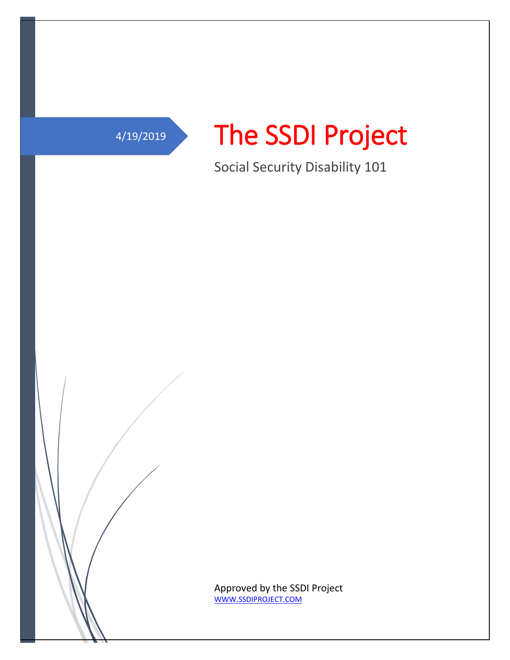



Social Security Disability 101

Approved by the SSDI Project [WWW.SSDIPROJECT.COM](http://www.ssdiproject.com/)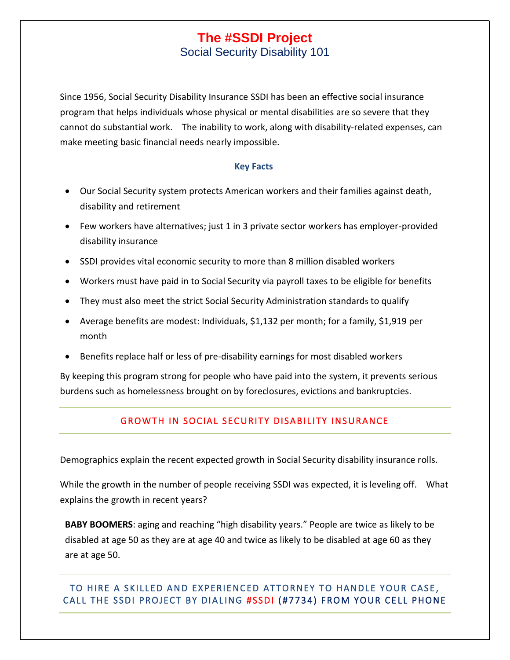Social Security Disability 101

Since 1956, Social Security Disability Insurance [SSDI](http://www.socialsecurity.gov/pubs/EN-05-10024.pdf) has been an effective social insurance program that helps individuals whose physical or mental disabilities are so severe that they cannot do substantial work. The inability to work, along with disability-related expenses, can make meeting basic financial needs nearly impossible.

### **Key Facts**

- Our Social Security system protects American workers and their families against death, disability and retirement
- Few workers have alternatives; just 1 in 3 private sector workers has employer-provided disability insurance
- SSDI provides vital economic security to more than 8 million disabled workers
- Workers must have paid in to Social Security via payroll taxes to be eligible for benefits
- They must also meet the strict [Social Security Administration](http://www.nosscr.org/benefits-eligibility) standards to qualify
- Average benefits are modest: Individuals, \$1,132 per month; for a family, \$1,919 per month
- Benefits replace half or less of pre-disability earnings for most disabled workers

By keeping this program strong for people who have paid into the system, it prevents serious burdens such as homelessness brought on by foreclosures, evictions and bankruptcies.

# GROWTH IN SOCIAL SECURITY DISABILITY INSURANCE

Demographics explain the recent expected growth in Social Security disability insurance rolls.

While the growth in the number of people receiving SSDI was expected, it is leveling off. What explains the growth in recent years?

**BABY BOOMERS**: aging and reaching "high disability years." People are twice as likely to be disabled at age 50 as they are at age 40 and twice as likely to be disabled at age 60 as they are at age 50.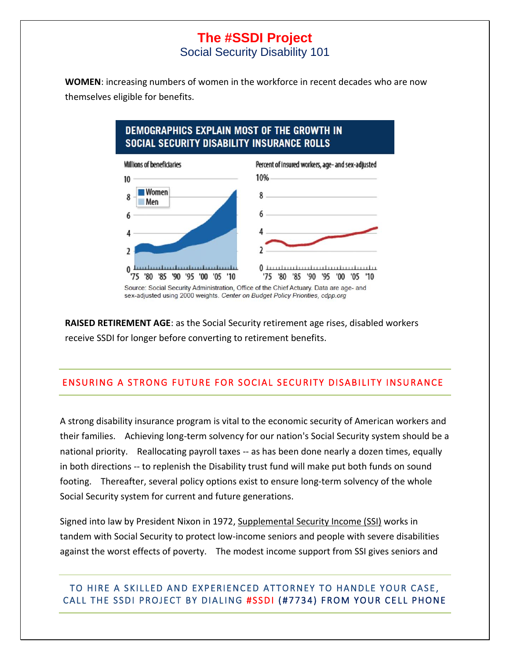Social Security Disability 101

**WOMEN**: increasing numbers of women in the workforce in recent decades who are now themselves eligible for benefits.

# DEMOGRAPHICS EXPLAIN MOST OF THE GROWTH IN **SOCIAL SECURITY DISABILITY INSURANCE ROLLS**



Source: Social Security Administration, Office of the Chief Actuary. Data are age- and sex-adjusted using 2000 weights. Center on Budget Policy Priorities, cdpp.org

**RAISED RETIREMENT AGE**: as the Social Security retirement age rises, disabled workers receive SSDI for longer before converting to retirement benefits.

# ENSURING A STRONG FUTURE FOR SOCIAL SECURITY DISABILITY INSURANCE

A strong disability insurance program is vital to the economic security of American workers and their families. Achieving long-term solvency for our nation's Social Security system should be a national priority. Reallocating payroll taxes -- as has been done nearly a dozen times, equally in both directions -- to replenish the Disability trust fund will make put both funds on sound footing. Thereafter, several policy options exist to ensure long-term solvency of the whole Social Security system for current and future generations.

Signed into law by President Nixon in 1972, [Supplemental Security Income \(SSI\)](http://www.ssa.gov/pgm/ssi.htm) works in tandem with Social Security to protect low-income seniors and people with severe disabilities against the worst effects of poverty. The modest income support from SSI gives seniors and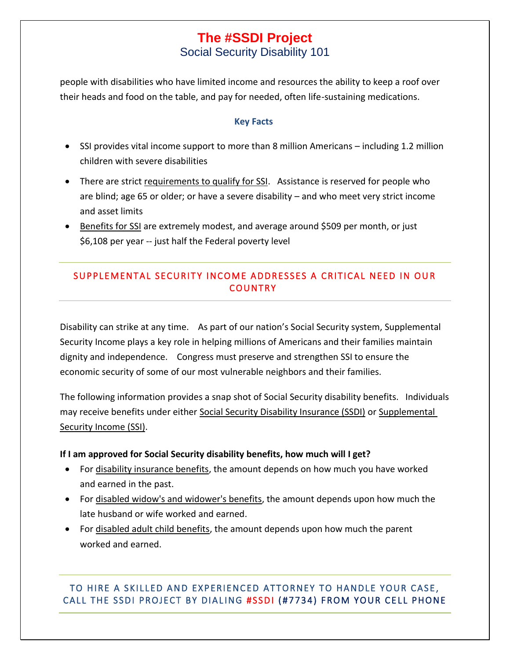# **The #SSDI Project** Social Security Disability 101

people with disabilities who have limited income and resources the ability to keep a roof over their heads and food on the table, and pay for needed, often life-sustaining medications.

#### **Key Facts**

- SSI provides vital income support to more than 8 million Americans including 1.2 million children with severe disabilities
- There are strict [requirements to qualify for SSI.](http://www.nosscr.org/benefits-eligibility) Assistance is reserved for people who are blind; age 65 or older; or have a severe disability – and who meet very strict income and asset limits
- [Benefits for SSI](http://www.nosscr.org/benefits-overview) are extremely modest, and average around \$509 per month, or just \$6,108 per year -- just half the Federal poverty level

# SUPPLEMENTAL SECURITY INCOME ADDRESSES A CRITICAL NEED IN OUR **COUNTRY**

Disability can strike at any time. As part of our nation's Social Security system, Supplemental Security Income plays a key role in helping millions of Americans and their families maintain dignity and independence. Congress must preserve and strengthen SSI to ensure the economic security of some of our most vulnerable neighbors and their families.

The following information provides a snap shot of Social Security disability benefits. Individuals may receive benefits under either [Social Security Disability Insurance \(SSDI\)](http://www.socialsecurity.gov/disability) or [Supplemental](http://www.ssa.gov/ssi)  [Security Income \(SSI\).](http://www.ssa.gov/ssi)

#### **If I am approved for Social Security disability benefits, how much will I get?**

- For [disability insurance benefits,](http://www.socialsecurity.gov/pubs/EN-05-10029.pdf) the amount depends on how much you have worked and earned in the past.
- For [disabled widow's and widower's benefits,](http://www.socialsecurity.gov/dibplan/dqualify9.htm) the amount depends upon how much the late husband or wife worked and earned.
- For [disabled adult child benefits,](http://www.socialsecurity.gov/dibplan/dqualify10.htm#age22) the amount depends upon how much the parent worked and earned.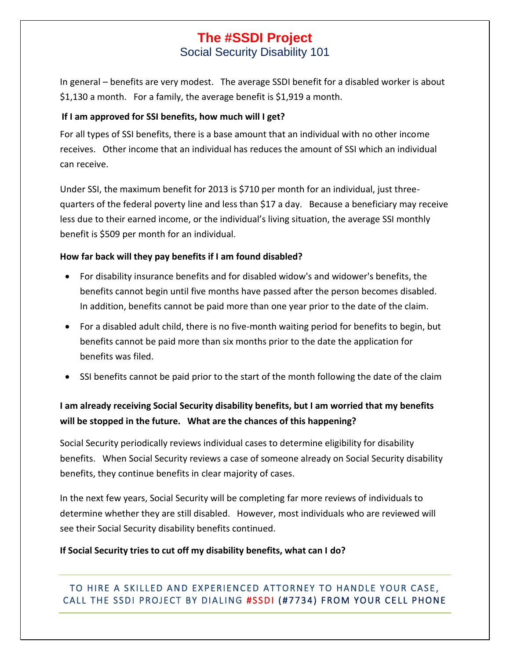Social Security Disability 101

In general – benefits are very modest. The average SSDI benefit for a disabled worker is about \$1,130 a month. For a family, the average benefit is \$1,919 a month.

# **If I am approved for SSI benefits, how much will I get?**

For all types of SSI benefits, there is a base amount that an individual with no other income receives. Other income that an individual has reduces the amount of SSI which an individual can receive.

Under SSI, the maximum benefit for 2013 is \$710 per month for an individual, just threequarters of the federal poverty line and less than \$17 a day. Because a beneficiary may receive less due to their earned income, or the individual's living situation, the average SSI monthly benefit is \$509 per month for an individual.

# **How far back will they pay benefits if I am found disabled?**

- For disability insurance benefits and for disabled widow's and widower's benefits, the benefits cannot begin until five months have passed after the person becomes disabled. In addition, benefits cannot be paid more than one year prior to the date of the claim.
- For a disabled adult child, there is no five-month waiting period for benefits to begin, but benefits cannot be paid more than six months prior to the date the application for benefits was filed.
- SSI benefits cannot be paid prior to the start of the month following the date of the claim

# **I am already receiving Social Security disability benefits, but I am worried that my benefits will be stopped in the future. What are the chances of this happening?**

Social Security periodically reviews individual cases to determine eligibility for disability benefits. When Social Security reviews a case of someone already on Social Security disability benefits, they continue benefits in clear majority of cases.

In the next few years, Social Security will be completing far more reviews of individuals to determine whether they are still disabled. However, most individuals who are reviewed will see their Social Security disability benefits continued.

# **If Social Security tries to cut off my disability benefits, what can I do?**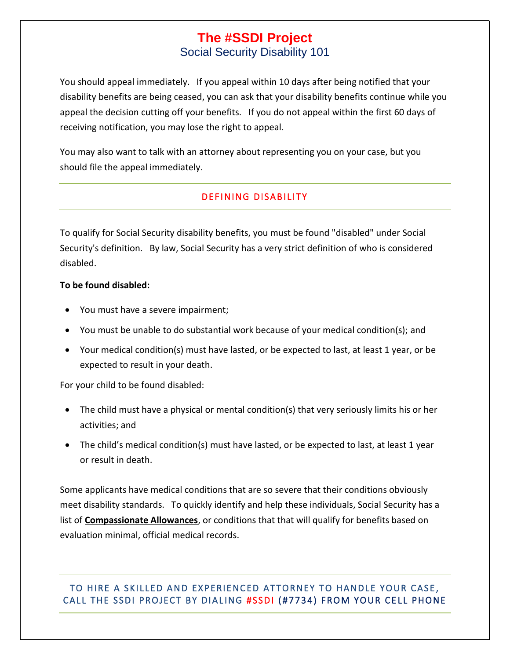Social Security Disability 101

You should appeal immediately. If you appeal within 10 days after being notified that your disability benefits are being ceased, you can ask that your disability benefits continue while you appeal the decision cutting off your benefits. If you do not appeal within the first 60 days of receiving notification, you may lose the right to appeal.

You may also want to talk with an attorney about representing you on your case, but you should file the appeal immediately.

# DEFINING DISABILITY

To qualify for Social Security disability benefits, you must be found "disabled" under Social Security's definition. By law, Social Security has a very strict definition of who is [considered](http://www.ssa.gov/dibplan/dqualify5.htm#a0=0)  [disabled.](http://www.ssa.gov/dibplan/dqualify5.htm#a0=0)

### **To be found disabled:**

- You must have a severe impairment;
- You must be unable to do substantial work because of your medical condition(s); and
- Your medical condition(s) must have lasted, or be expected to last, at least 1 year, or be expected to result in your death.

For your child to be found disabled:

- The child must have a physical or mental condition(s) that very seriously limits his or her activities; and
- The [child's medical condition\(s\)](http://www.ssa.gov/disability/professionals/bluebook/ChildhoodListings.htm) must have lasted, or be expected to last, at least 1 year or result in death.

Some applicants have medical conditions that are so severe that their conditions obviously meet disability standards. To quickly identify and help these individuals, Social Security has a list of **[Compassionate Allowances](http://www.ssa.gov/compassionateallowances/)**, or conditions that that will qualify for benefits based on evaluation minimal, official medical records.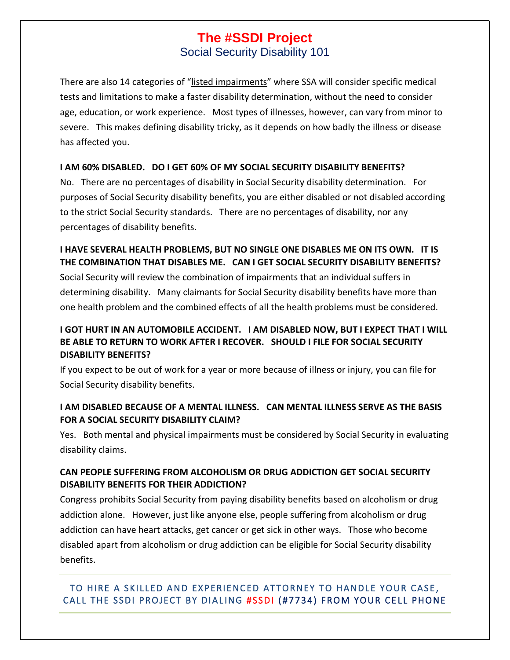Social Security Disability 101

There are also 14 categories of "[listed impairments](http://www.ecfr.gov/cgi-bin/text-idx?c=ecfr&SID=25f57d336b8fc510d8fc3faebc48b790&rgn=div9&view=text&node=20:2.0.1.1.5.16.202.102.11&idno=20)" where SSA will consider specific medical tests and limitations to make a faster disability determination, without the need to consider age, education, or work experience. Most types of illnesses, however, can vary from minor to severe. This makes defining disability tricky, as it depends on how badly the illness or disease has affected you.

# **I AM 60% DISABLED. DO I GET 60% OF MY SOCIAL SECURITY DISABILITY BENEFITS?**

No. There are no percentages of disability in Social Security disability determination. For purposes of Social Security disability benefits, you are either disabled or not disabled according to the strict Social Security standards. There are no percentages of disability, nor any percentages of disability benefits.

# **I HAVE SEVERAL HEALTH PROBLEMS, BUT NO SINGLE ONE DISABLES ME ON ITS OWN. IT IS THE COMBINATION THAT DISABLES ME. CAN I GET SOCIAL SECURITY DISABILITY BENEFITS?**

Social Security will review the combination of impairments that an individual suffers in determining disability. Many claimants for Social Security disability benefits have more than one health problem and the combined effects of all the health problems must be considered.

# **I GOT HURT IN AN AUTOMOBILE ACCIDENT. I AM DISABLED NOW, BUT I EXPECT THAT I WILL BE ABLE TO RETURN TO WORK AFTER I RECOVER. SHOULD I FILE FOR SOCIAL SECURITY DISABILITY BENEFITS?**

If you expect to be out of work for a year or more because of illness or injury, you can file for Social Security disability benefits.

# **I AM DISABLED BECAUSE OF A MENTAL ILLNESS. CAN MENTAL ILLNESS SERVE AS THE BASIS FOR A SOCIAL SECURITY DISABILITY CLAIM?**

Yes. Both mental and physical impairments must be considered by Social Security in evaluating disability claims.

# **CAN PEOPLE SUFFERING FROM ALCOHOLISM OR DRUG ADDICTION GET SOCIAL SECURITY DISABILITY BENEFITS FOR THEIR ADDICTION?**

Congress prohibits Social Security from paying disability benefits based on alcoholism or drug addiction alone. However, just like anyone else, people suffering from alcoholism or drug addiction can have heart attacks, get cancer or get sick in other ways. Those who become disabled apart from alcoholism or drug addiction can be eligible for Social Security disability benefits.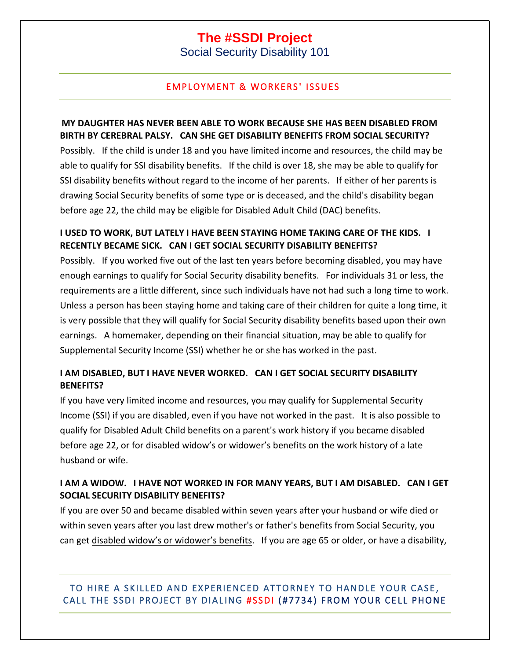Social Security Disability 101

# **EMPLOYMENT & WORKERS' ISSUES**

## **MY DAUGHTER HAS NEVER BEEN ABLE TO WORK BECAUSE SHE HAS BEEN DISABLED FROM BIRTH BY CEREBRAL PALSY. CAN SHE GET DISABILITY BENEFITS FROM SOCIAL SECURITY?**

Possibly. If the child is under 18 and you have limited income and resources, the child may be able to qualify for SSI disability benefits. If the child is over 18, she may be able to qualify for SSI disability benefits without regard to the income of her parents. If either of her parents is drawing Social Security benefits of some type or is deceased, and the child's disability began before age 22, the child may be eligible for Disabled Adult Child (DAC) benefits.

# **I USED TO WORK, BUT LATELY I HAVE BEEN STAYING HOME TAKING CARE OF THE KIDS. I RECENTLY BECAME SICK. CAN I GET SOCIAL SECURITY DISABILITY BENEFITS?**

Possibly. If you worked five out of the last ten years before becoming disabled, you may have enough earnings to qualify for Social Security disability benefits. For individuals 31 or less, the requirements are a little different, since such individuals have not had such a long time to work. Unless a person has been staying home and taking care of their children for quite a long time, it is very possible that they will qualify for Social Security disability benefits based upon their own earnings. A homemaker, depending on their financial situation, may be able to qualify for Supplemental Security Income (SSI) whether he or she has worked in the past.

# **I AM DISABLED, BUT I HAVE NEVER WORKED. CAN I GET SOCIAL SECURITY DISABILITY BENEFITS?**

If you have very limited income and resources, you may qualify for Supplemental Security Income (SSI) if you are disabled, even if you have not worked in the past. It is also possible to qualify for Disabled Adult Child benefits on a parent's work history if you became disabled before age 22, or for disabled widow's or widower's benefits on the work history of a late husband or wife.

# **I AM A WIDOW. I HAVE NOT WORKED IN FOR MANY YEARS, BUT I AM DISABLED. CAN I GET SOCIAL SECURITY DISABILITY BENEFITS?**

If you are over 50 and became disabled within seven years after your husband or wife died or within seven years after you last drew mother's or father's benefits from Social Security, you can get [disabled widow's or widower's benefits](http://www.socialsecurity.gov/dibplan/dqualify9.htm). If you are age 65 or older, or have a disability,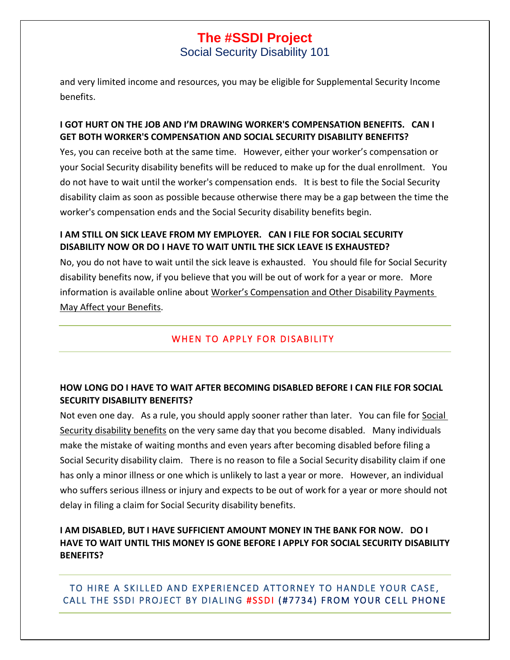Social Security Disability 101

and very limited income and resources, you may be eligible for Supplemental Security Income benefits.

# **I GOT HURT ON THE JOB AND I'M DRAWING WORKER'S COMPENSATION BENEFITS. CAN I GET BOTH WORKER'S COMPENSATION AND SOCIAL SECURITY DISABILITY BENEFITS?**

Yes, you can receive both at the same time. However, either your worker's compensation or your Social Security disability benefits will be reduced to make up for the dual enrollment. You do not have to wait until the worker's compensation ends. It is best to file the Social Security disability claim as soon as possible because otherwise there may be a gap between the time the worker's compensation ends and the Social Security disability benefits begin.

# **I AM STILL ON SICK LEAVE FROM MY EMPLOYER. CAN I FILE FOR SOCIAL SECURITY DISABILITY NOW OR DO I HAVE TO WAIT UNTIL THE SICK LEAVE IS EXHAUSTED?**

No, you do not have to wait until the sick leave is exhausted. You should file for Social Security disability benefits now, if you believe that you will be out of work for a year or more. More information is available online about Worker's Compensation and Other Disability Payments [May Affect your Benefits.](http://www.ssa.gov/pubs/EN-05-10018.pdf)

# WHEN TO APPLY FOR DISABILITY

# **HOW LONG DO I HAVE TO WAIT AFTER BECOMING DISABLED BEFORE I CAN FILE FOR SOCIAL SECURITY DISABILITY BENEFITS?**

Not even one day. As a rule, you should apply sooner rather than later. You can file for [Social](https://secure.ssa.gov/iCLM/dib)  [Security disability benefits](https://secure.ssa.gov/iCLM/dib) on the very same day that you become disabled. Many individuals make the mistake of waiting months and even years after becoming disabled before filing a Social Security disability claim. There is no reason to file a Social Security disability claim if one has only a minor illness or one which is unlikely to last a year or more. However, an individual who suffers serious illness or injury and expects to be out of work for a year or more should not delay in filing a claim for Social Security disability benefits.

# **I AM DISABLED, BUT I HAVE SUFFICIENT AMOUNT MONEY IN THE BANK FOR NOW. DO I HAVE TO WAIT UNTIL THIS MONEY IS GONE BEFORE I APPLY FOR SOCIAL SECURITY DISABILITY BENEFITS?**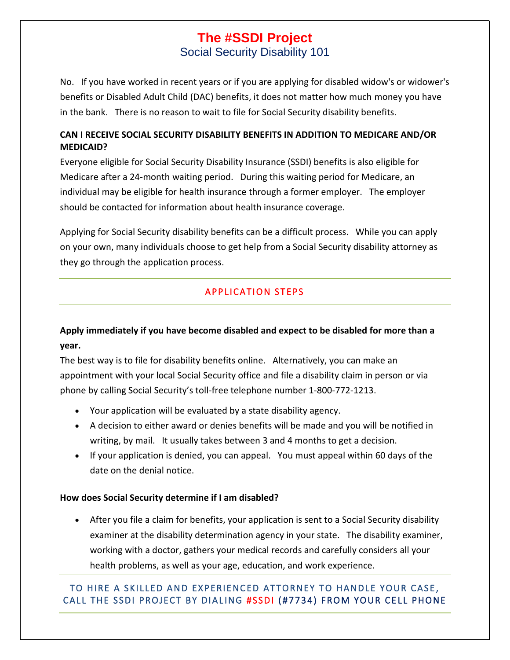Social Security Disability 101

No. If you have worked in recent years or if you are applying for disabled widow's or widower's benefits or Disabled Adult Child (DAC) benefits, it does not matter how much money you have in the bank. There is no reason to wait to file for Social Security disability benefits.

# **CAN I RECEIVE SOCIAL SECURITY DISABILITY BENEFITS IN ADDITION TO MEDICARE AND/OR MEDICAID?**

Everyone eligible for Social Security Disability Insurance (SSDI) benefits is also eligible for Medicare after a 24-month waiting period. During this waiting period for Medicare, an individual may be eligible for health insurance through a former employer. The employer should be contacted for information about health insurance coverage.

Applying for Social Security disability benefits can be a difficult process. While you can apply on your own, many individuals choose to get help from a Social Security disability attorney as they go through the application process.

# **APPLICATION STEPS**

# **Apply immediately if you have become disabled and expect to be disabled for more than a year.**

The best way is to [file for disability benefits online.](http://www.ssa.gov/dibplan/dapply.htm) Alternatively, you can make an appointment with your local Social Security office and [file a disability claim in person](https://secure.ssa.gov/ICON/main.jsp) or via phone by calling Social Security's toll-free telephone number 1-800-772-1213.

- Your application will be evaluated by a state disability agency.
- A decision to either award or denies benefits will be made and you will be notified in writing, by mail. It usually takes between 3 and 4 months to get a decision.
- If your application is denied, you can [appeal.](http://www.nosscr.org/if-youve-been-denied) You must appeal within 60 days of the date on the denial notice.

# **How does Social Security determine if I am disabled?**

• After you file a claim for benefits, your application is sent to a Social Security disability examiner at the disability determination agency in your state. The disability examiner, working with a doctor, gathers your medical records and carefully considers all your health problems, as well as your age, education, and work experience.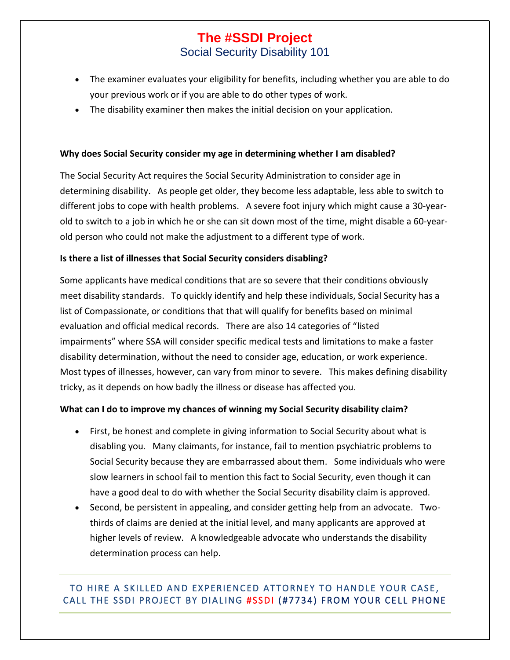# **The #SSDI Project** Social Security Disability 101

- The examiner evaluates your [eligibility for benefits,](http://www.nosscr.org/benefits-eligibility) including whether you are able to do your previous work or if you are able to do other types of work.
- The disability examiner then makes the initial decision on your application.

#### **Why does Social Security consider my age in determining whether I am disabled?**

The Social Security Act requires the Social Security Administration to consider age in determining disability. As people get older, they become less adaptable, less able to switch to different jobs to cope with health problems. A severe foot injury which might cause a 30-yearold to switch to a job in which he or she can sit down most of the time, might disable a 60-yearold person who could not make the adjustment to a different type of work.

#### **Is there a list of illnesses that Social Security considers disabling?**

Some applicants have medical conditions that are so severe that their conditions obviously meet disability standards. To quickly identify and help these individuals, Social Security has a list of Compassionate, or conditions that that will qualify for benefits based on minimal evaluation and official medical records. There are also 14 categories of "[listed](http://www.ecfr.gov/cgi-bin/text-idx?c=ecfr&SID=25f57d336b8fc510d8fc3faebc48b790&rgn=div9&view=text&node=20:2.0.1.1.5.16.202.102.11&idno=20)  [impairments](http://www.ecfr.gov/cgi-bin/text-idx?c=ecfr&SID=25f57d336b8fc510d8fc3faebc48b790&rgn=div9&view=text&node=20:2.0.1.1.5.16.202.102.11&idno=20)" where SSA will consider specific medical tests and limitations to make a faster disability determination, without the need to consider age, education, or work experience. Most types of illnesses, however, can vary from minor to severe. This makes defining disability tricky, as it depends on how badly the illness or disease has affected you.

#### **What can I do to improve my chances of winning my Social Security disability claim?**

- First, be honest and complete in giving information to Social Security about what is disabling you. Many claimants, for instance, fail to mention psychiatric problems to Social Security because they are embarrassed about them. Some individuals who were slow learners in school fail to mention this fact to Social Security, even though it can have a good deal to do with whether the Social Security disability claim is approved.
- Second, be persistent in appealing, and consider getting help from an advocate. Twothirds of claims are denied at the initial level, and many applicants are approved at higher levels of review. A knowledgeable advocate who understands the disability determination process can help.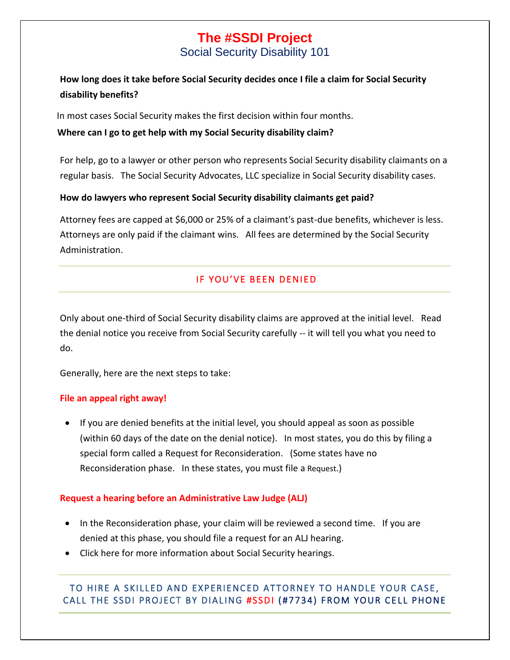Social Security Disability 101

# **How long does it take before Social Security decides once I file a claim for Social Security disability benefits?**

In most cases Social Security makes the first decision within four months.

## **Where can I go to get help with my Social Security disability claim?**

For help, go to a lawyer or other person who represents Social Security disability claimants on a regular basis. The Social Security Advocates, LLC specialize in Social Security disability cases.

## **How do lawyers who represent Social Security disability claimants get paid?**

Attorney fees are capped at \$6,000 or 25% of a claimant's past-due benefits, whichever is less. Attorneys are only paid if the claimant wins. All fees are determined by the Social Security Administration.

# IF YOU'VE BEEN DENIED

Only about one-third of Social Security disability claims are approved at the initial level. Read the denial notice you receive from Social Security carefully -- it will tell you what you need to do.

Generally, here are the next steps to take:

## **File an appeal right away!**

• If you are denied benefits at the initial level, you should appeal as soon as possible (within 60 days of the date on the denial notice). In most states, you do this by filing a special form called a [Request for Reconsideration.](http://www.ssa.gov/online/ssa-561.html) (Some states have no Reconsideration phase. In these states, you must file a Request.)

## **Request a hearing before an Administrative Law Judge (ALJ)**

- In the Reconsideration phase, your claim will be reviewed a second time. If you are denied at this phase, you should file a [request for an ALJ hearing.](http://www.ssa.gov/online/ha-501.pdf)
- Click here for more information about [Social Security hearings.](http://www.nosscr.org/hearings)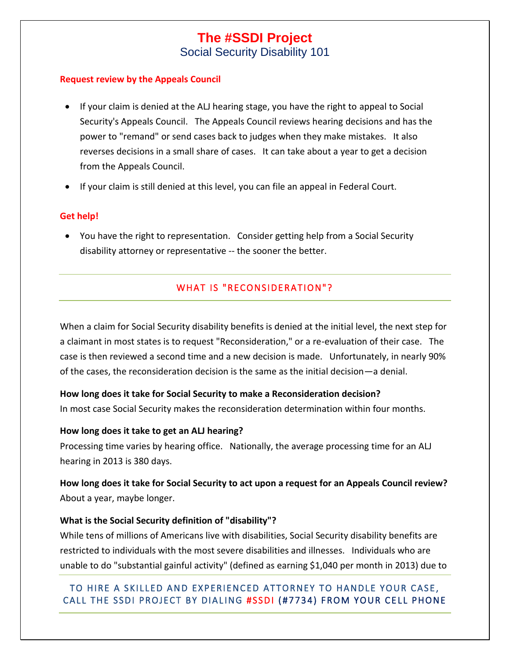Social Security Disability 101

#### **Request review by the Appeals Council**

- If your claim is denied at the ALJ hearing stage, you have the right to [appeal to Social](http://www.ssa.gov/online/ha-520.pdf) [Security's Appeals Council.](http://www.ssa.gov/online/ha-520.pdf) The Appeals Council reviews hearing decisions and has the power to "remand" or send cases back to judges when they make mistakes. It also reverses decisions in a small share of cases. It can take about a year to get a decision from the Appeals Council.
- If your claim is still denied at this level, you can file an appeal in Federal Court.

### **Get help!**

• You have the right to representation. Consider getting help from a Social Security disability attorney or representative -- the sooner the better.

# WHAT IS "RECONSIDERATION"?

When a claim for Social Security disability benefits is denied at the initial level, the next step for a claimant in most states is to request "Reconsideration," or a re-evaluation of their case. The case is then reviewed a second time and a new decision is made. Unfortunately, in nearly 90% of the cases, the reconsideration decision is the same as the initial decision—a denial.

#### **How long does it take for Social Security to make a Reconsideration decision?**

In most case Social Security makes the reconsideration determination within four months.

#### **How long does it take to get an ALJ hearing?**

Processing time varies by hearing office. Nationally, the average processing time for an ALJ hearing in 2013 is 380 days.

# **How long does it take for Social Security to act upon a request for an Appeals Council review?** About a year, maybe longer.

## **What is the Social Security definition of "disability"?**

While tens of millions of Americans live with disabilities, Social Security disability benefits are restricted to individuals with the most severe disabilities and illnesses. Individuals who are unable to do "substantial gainful activity" (defined as earning \$1,040 per month in 2013) due to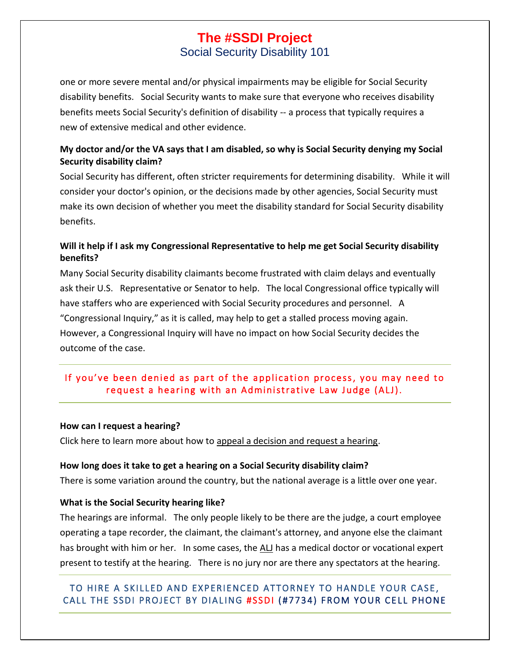Social Security Disability 101

one or more severe mental and/or physical impairments may be eligible for Social Security disability benefits. Social Security wants to make sure that everyone who receives disability benefits meets Social Security's definition of disability -- a process that typically requires a new of extensive medical and other evidence.

# **My doctor and/or the VA says that I am disabled, so why is Social Security denying my Social Security disability claim?**

Social Security has different, often stricter [requirements for determining disability.](http://www.nosscr.org/benefits-eligibility) While it will consider your doctor's opinion, or the decisions made by other agencies, Social Security must make its own decision of whether you meet the disability standard for Social Security disability benefits.

# **Will it help if I ask my Congressional Representative to help me get Social Security disability benefits?**

Many Social Security disability claimants become frustrated with claim delays and eventually ask their U.S. Representative or Senator to help. The local Congressional office typically will have staffers who are experienced with Social Security procedures and personnel. A "Congressional Inquiry," as it is called, may help to get a stalled process moving again. However, a Congressional Inquiry will have no impact on how Social Security decides the outcome of the case.

# If you've been denied as part of the application process, you may need to request a hearing with an Administrative Law Judge (ALJ).

#### **How can I request a hearing?**

Click here to learn more about how to [appeal a decision and request a hearing.](http://www.nosscr.org/if-youve-been-denied)

#### **How long does it take to get a hearing on a Social Security disability claim?**

There is some variation around the country, but the national average is a little over one year.

#### **What is the Social Security hearing like?**

The hearings are informal. The only people likely to be there are the judge, a court employee operating a tape recorder, the claimant, the claimant's attorney, and anyone else the claimant has brought with him or her. In some cases, the [ALJ](http://www.nosscr.org/helping-you/acronyms/nosscr-acronyms) has a medical doctor or vocational expert present to testify at the hearing. There is no jury nor are there any spectators at the hearing.